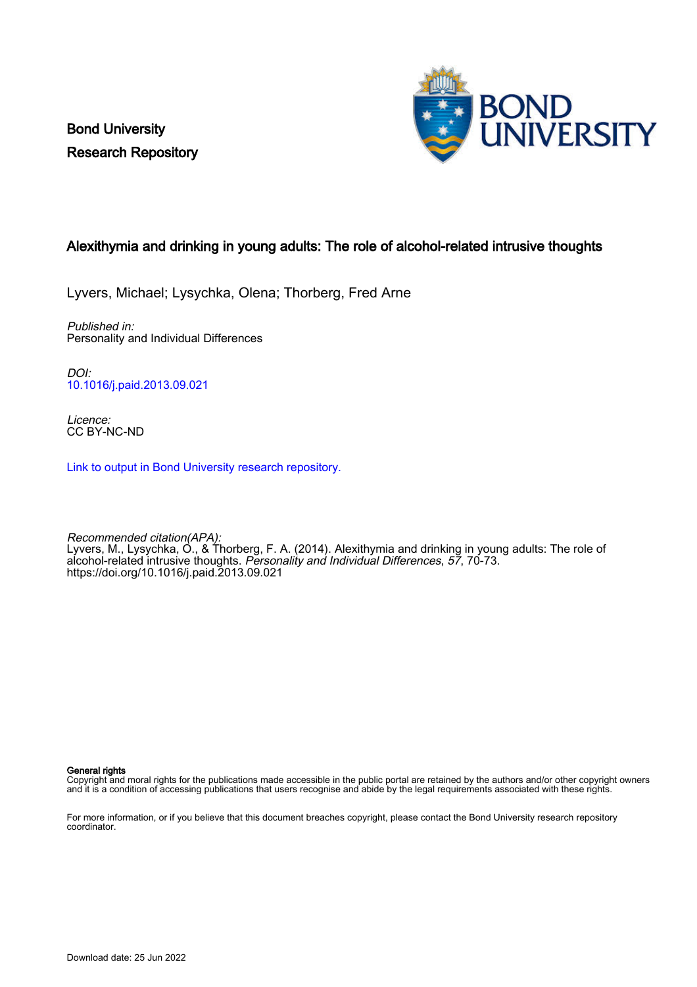Bond University Research Repository



# Alexithymia and drinking in young adults: The role of alcohol-related intrusive thoughts

Lyvers, Michael; Lysychka, Olena; Thorberg, Fred Arne

Published in: Personality and Individual Differences

DOI: [10.1016/j.paid.2013.09.021](https://doi.org/10.1016/j.paid.2013.09.021)

Licence: CC BY-NC-ND

[Link to output in Bond University research repository.](https://research.bond.edu.au/en/publications/3977f9a0-4bc4-4015-b22f-de18a25e4737)

Recommended citation(APA): Lyvers, M., Lysychka, O., & Thorberg, F. A. (2014). Alexithymia and drinking in young adults: The role of alcohol-related intrusive thoughts. Personality and Individual Differences, 57, 70-73. <https://doi.org/10.1016/j.paid.2013.09.021>

General rights

Copyright and moral rights for the publications made accessible in the public portal are retained by the authors and/or other copyright owners and it is a condition of accessing publications that users recognise and abide by the legal requirements associated with these rights.

For more information, or if you believe that this document breaches copyright, please contact the Bond University research repository coordinator.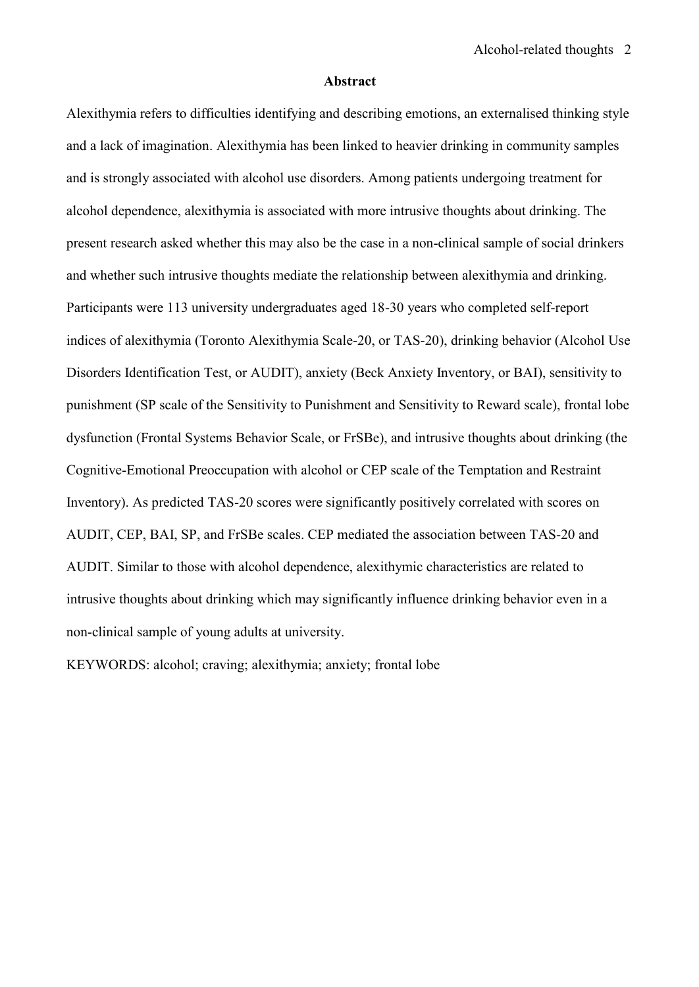#### **Abstract**

Alexithymia refers to difficulties identifying and describing emotions, an externalised thinking style and a lack of imagination. Alexithymia has been linked to heavier drinking in community samples and is strongly associated with alcohol use disorders. Among patients undergoing treatment for alcohol dependence, alexithymia is associated with more intrusive thoughts about drinking. The present research asked whether this may also be the case in a non-clinical sample of social drinkers and whether such intrusive thoughts mediate the relationship between alexithymia and drinking. Participants were 113 university undergraduates aged 18-30 years who completed self-report indices of alexithymia (Toronto Alexithymia Scale-20, or TAS-20), drinking behavior (Alcohol Use Disorders Identification Test, or AUDIT), anxiety (Beck Anxiety Inventory, or BAI), sensitivity to punishment (SP scale of the Sensitivity to Punishment and Sensitivity to Reward scale), frontal lobe dysfunction (Frontal Systems Behavior Scale, or FrSBe), and intrusive thoughts about drinking (the Cognitive-Emotional Preoccupation with alcohol or CEP scale of the Temptation and Restraint Inventory). As predicted TAS-20 scores were significantly positively correlated with scores on AUDIT, CEP, BAI, SP, and FrSBe scales. CEP mediated the association between TAS-20 and AUDIT. Similar to those with alcohol dependence, alexithymic characteristics are related to intrusive thoughts about drinking which may significantly influence drinking behavior even in a non-clinical sample of young adults at university.

KEYWORDS: alcohol; craving; alexithymia; anxiety; frontal lobe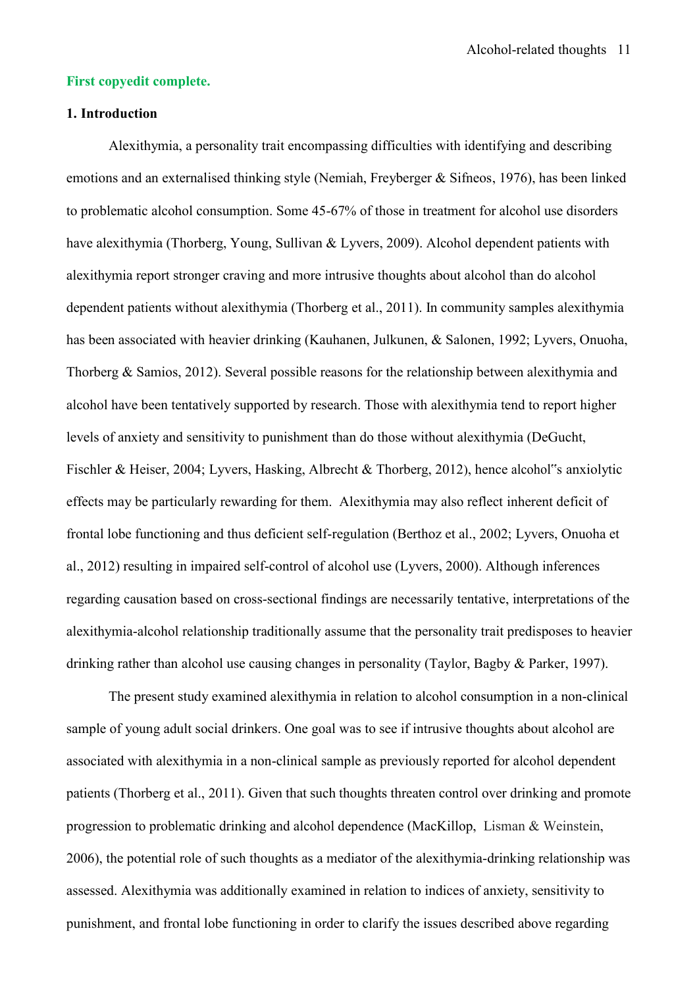### **First copyedit complete.**

# **1. Introduction**

Alexithymia, a personality trait encompassing difficulties with identifying and describing emotions and an externalised thinking style (Nemiah, Freyberger & Sifneos, 1976), has been linked to problematic alcohol consumption. Some 45-67% of those in treatment for alcohol use disorders have alexithymia (Thorberg, Young, Sullivan & Lyvers, 2009). Alcohol dependent patients with alexithymia report stronger craving and more intrusive thoughts about alcohol than do alcohol dependent patients without alexithymia (Thorberg et al., 2011). In community samples alexithymia has been associated with heavier drinking (Kauhanen, Julkunen, & Salonen, 1992; Lyvers, Onuoha, Thorberg & Samios, 2012). Several possible reasons for the relationship between alexithymia and alcohol have been tentatively supported by research. Those with alexithymia tend to report higher levels of anxiety and sensitivity to punishment than do those without alexithymia (DeGucht, Fischler & Heiser, 2004; Lyvers, Hasking, Albrecht & Thorberg, 2012), hence alcohol"s anxiolytic effects may be particularly rewarding for them. Alexithymia may also reflect inherent deficit of frontal lobe functioning and thus deficient self-regulation (Berthoz et al., 2002; Lyvers, Onuoha et al., 2012) resulting in impaired self-control of alcohol use (Lyvers, 2000). Although inferences regarding causation based on cross-sectional findings are necessarily tentative, interpretations of the alexithymia-alcohol relationship traditionally assume that the personality trait predisposes to heavier drinking rather than alcohol use causing changes in personality (Taylor, Bagby & Parker, 1997).

The present study examined alexithymia in relation to alcohol consumption in a non-clinical sample of young adult social drinkers. One goal was to see if intrusive thoughts about alcohol are associated with alexithymia in a non-clinical sample as previously reported for alcohol dependent patients (Thorberg et al., 2011). Given that such thoughts threaten control over drinking and promote progression to problematic drinking and alcohol dependence (MacKillop, Lisman & Weinstein, 2006), the potential role of such thoughts as a mediator of the alexithymia-drinking relationship was assessed. Alexithymia was additionally examined in relation to indices of anxiety, sensitivity to punishment, and frontal lobe functioning in order to clarify the issues described above regarding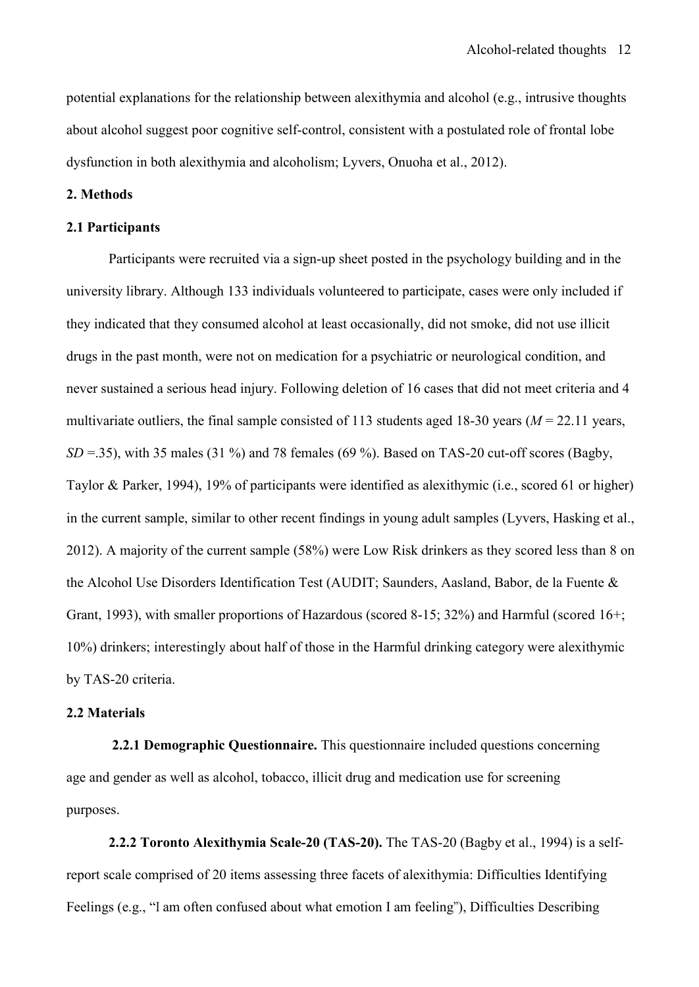potential explanations for the relationship between alexithymia and alcohol (e.g., intrusive thoughts about alcohol suggest poor cognitive self-control, consistent with a postulated role of frontal lobe dysfunction in both alexithymia and alcoholism; Lyvers, Onuoha et al., 2012).

### **2. Methods**

#### **2.1 Participants**

Participants were recruited via a sign-up sheet posted in the psychology building and in the university library. Although 133 individuals volunteered to participate, cases were only included if they indicated that they consumed alcohol at least occasionally, did not smoke, did not use illicit drugs in the past month, were not on medication for a psychiatric or neurological condition, and never sustained a serious head injury. Following deletion of 16 cases that did not meet criteria and 4 multivariate outliers, the final sample consisted of 113 students aged 18-30 years (*M* = 22.11 years, *SD* = 35), with 35 males (31 %) and 78 females (69 %). Based on TAS-20 cut-off scores (Bagby, Taylor & Parker, 1994), 19% of participants were identified as alexithymic (i.e., scored 61 or higher) in the current sample, similar to other recent findings in young adult samples (Lyvers, Hasking et al., 2012). A majority of the current sample (58%) were Low Risk drinkers as they scored less than 8 on the Alcohol Use Disorders Identification Test (AUDIT; Saunders, Aasland, Babor, de la Fuente & Grant, 1993), with smaller proportions of Hazardous (scored 8-15; 32%) and Harmful (scored 16+; 10%) drinkers; interestingly about half of those in the Harmful drinking category were alexithymic by TAS-20 criteria.

## **2.2 Materials**

**2.2.1 Demographic Questionnaire.** This questionnaire included questions concerning age and gender as well as alcohol, tobacco, illicit drug and medication use for screening purposes.

**2.2.2 Toronto Alexithymia Scale-20 (TAS-20).** The TAS-20 (Bagby et al., 1994) is a selfreport scale comprised of 20 items assessing three facets of alexithymia: Difficulties Identifying Feelings (e.g., "I am often confused about what emotion I am feeling"), Difficulties Describing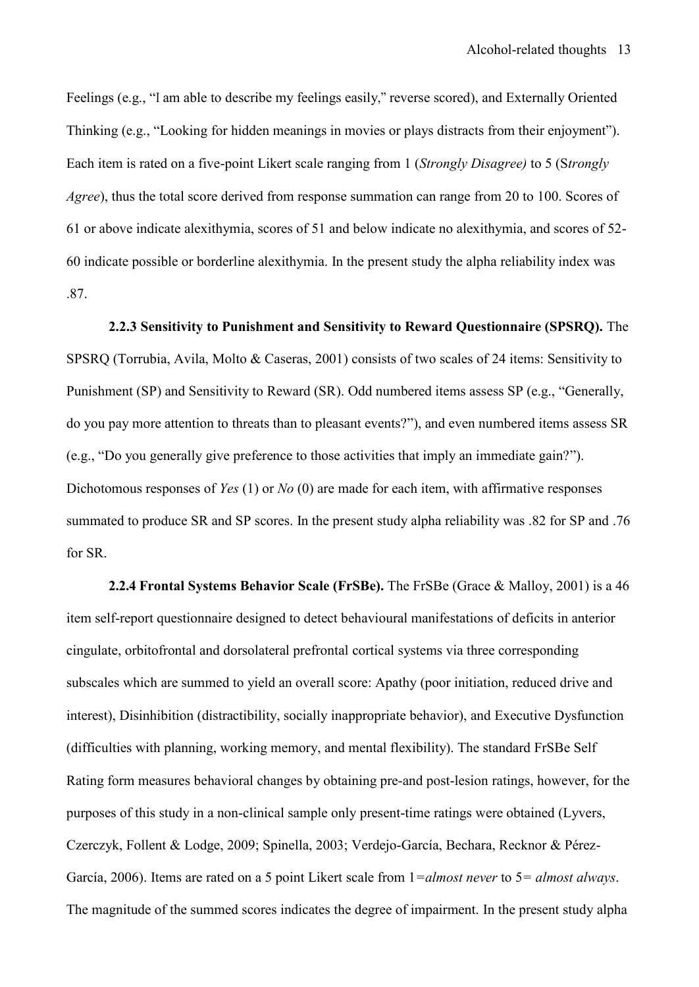Feelings (e.g., "I am able to describe my feelings easily," reverse scored), and Externally Oriented Thinking (e.g., "Looking for hidden meanings in movies or plays distracts from their enjoyment"). Each item is rated on a five-point Likert scale ranging from 1 (*Strongly Disagree)* to 5 (S*trongly Agree*), thus the total score derived from response summation can range from 20 to 100. Scores of 61 or above indicate alexithymia, scores of 51 and below indicate no alexithymia, and scores of 52- 60 indicate possible or borderline alexithymia. In the present study the alpha reliability index was .87.

**2.2.3 Sensitivity to Punishment and Sensitivity to Reward Questionnaire (SPSRQ).** The SPSRQ (Torrubia, Avila, Molto & Caseras, 2001) consists of two scales of 24 items: Sensitivity to Punishment (SP) and Sensitivity to Reward (SR). Odd numbered items assess SP (e.g., "Generally, do you pay more attention to threats than to pleasant events?"), and even numbered items assess SR (e.g., "Do you generally give preference to those activities that imply an immediate gain?"). Dichotomous responses of *Yes* (1) or *No* (0) are made for each item, with affirmative responses summated to produce SR and SP scores. In the present study alpha reliability was .82 for SP and .76 for SR.

**2.2.4 Frontal Systems Behavior Scale (FrSBe).** The FrSBe (Grace & Malloy, 2001) is a 46 item self-report questionnaire designed to detect behavioural manifestations of deficits in anterior cingulate, orbitofrontal and dorsolateral prefrontal cortical systems via three corresponding subscales which are summed to yield an overall score: Apathy (poor initiation, reduced drive and interest), Disinhibition (distractibility, socially inappropriate behavior), and Executive Dysfunction (difficulties with planning, working memory, and mental flexibility). The standard FrSBe Self Rating form measures behavioral changes by obtaining pre-and post-lesion ratings, however, for the purposes of this study in a non-clinical sample only present-time ratings were obtained (Lyvers, Czerczyk, Follent & Lodge, 2009; Spinella, 2003; Verdejo-García, Bechara, Recknor & Pérez-García, 2006). Items are rated on a 5 point Likert scale from 1*=almost never* to 5*= almost always*. The magnitude of the summed scores indicates the degree of impairment. In the present study alpha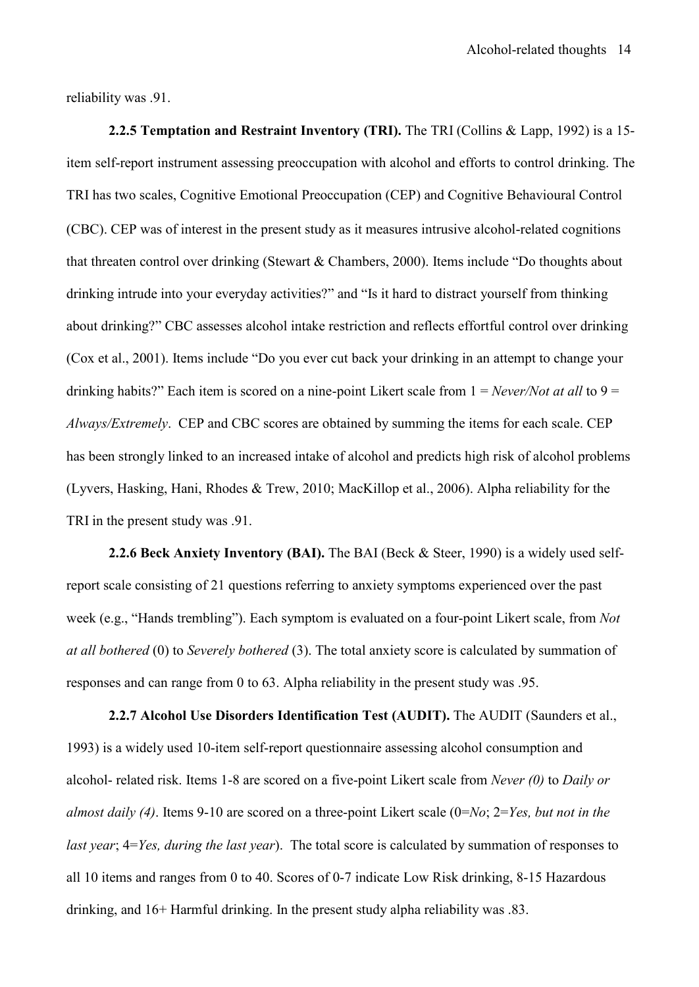reliability was .91.

**2.2.5 Temptation and Restraint Inventory (TRI).** The TRI (Collins & Lapp, 1992) is a 15 item self-report instrument assessing preoccupation with alcohol and efforts to control drinking. The TRI has two scales, Cognitive Emotional Preoccupation (CEP) and Cognitive Behavioural Control (CBC). CEP was of interest in the present study as it measures intrusive alcohol-related cognitions that threaten control over drinking (Stewart & Chambers, 2000). Items include "Do thoughts about drinking intrude into your everyday activities?" and "Is it hard to distract yourself from thinking about drinking?" CBC assesses alcohol intake restriction and reflects effortful control over drinking (Cox et al., 2001). Items include "Do you ever cut back your drinking in an attempt to change your drinking habits?" Each item is scored on a nine-point Likert scale from 1 = *Never/Not at all* to 9 = *Always/Extremely*. CEP and CBC scores are obtained by summing the items for each scale. CEP has been strongly linked to an increased intake of alcohol and predicts high risk of alcohol problems (Lyvers, Hasking, Hani, Rhodes & Trew, 2010; MacKillop et al., 2006). Alpha reliability for the TRI in the present study was .91.

**2.2.6 Beck Anxiety Inventory (BAI).** The BAI (Beck & Steer, 1990) is a widely [used self](http://en.wikipedia.org/wiki/Self-report_inventory)[report](http://en.wikipedia.org/wiki/Self-report_inventory) [scal](http://en.wikipedia.org/wiki/Self-report_inventory)e consisting of 21 questions referring to anxiety symptoms experienced over the past week (e.g., "Hands trembling"). Each symptom is evaluated on a four-point Likert scale, from *Not at all bothered* (0) to *Severely bothered* (3). The total anxiety score is calculated by summation of responses and can range from 0 to 63. Alpha reliability in the present study was .95.

**2.2.7 Alcohol Use Disorders Identification Test (AUDIT).** The AUDIT (Saunders et al., 1993) is a widely used 10-item self-report questionnaire assessing alcohol consumption and alcohol- related risk. Items 1-8 are scored on a five-point Likert scale from *Never (0)* to *Daily or almost daily (4)*. Items 9-10 are scored on a three-point Likert scale (0=*No*; 2=*Yes, but not in the last year*; 4=*Yes, during the last year*). The total score is calculated by summation of responses to all 10 items and ranges from 0 to 40. Scores of 0-7 indicate Low Risk drinking, 8-15 Hazardous drinking, and 16+ Harmful drinking. In the present study alpha reliability was .83.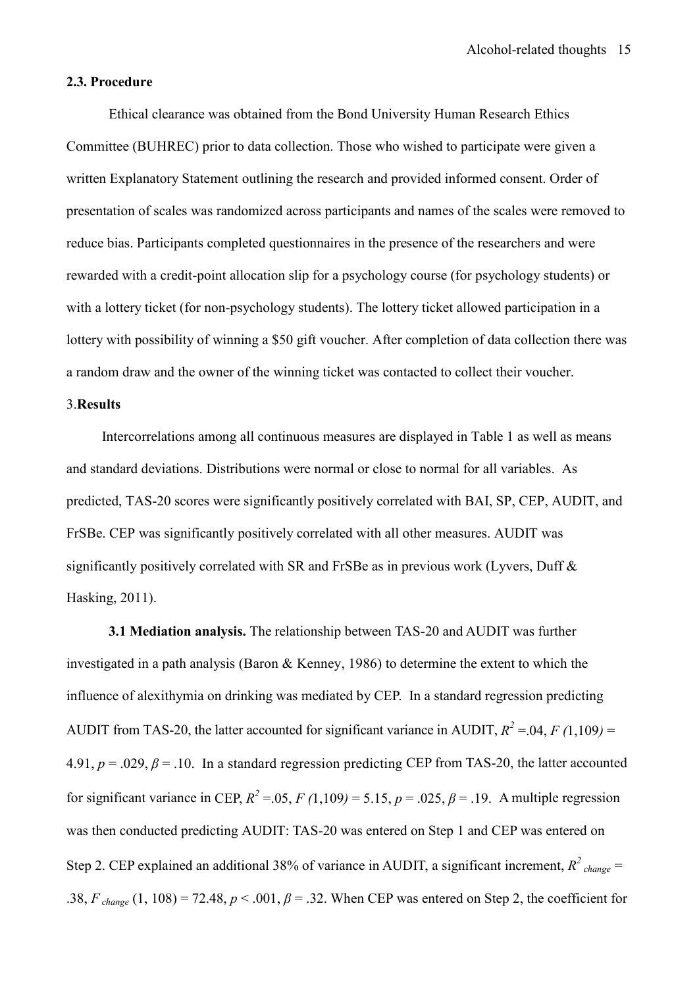#### **2.3. Procedure**

Ethical clearance was obtained from the Bond University Human Research Ethics Committee (BUHREC) prior to data collection. Those who wished to participate were given a written Explanatory Statement outlining the research and provided informed consent. Order of presentation of scales was randomized across participants and names of the scales were removed to reduce bias. Participants completed questionnaires in the presence of the researchers and were rewarded with a credit-point allocation slip for a psychology course (for psychology students) or with a lottery ticket (for non-psychology students). The lottery ticket allowed participation in a lottery with possibility of winning a \$50 gift voucher. After completion of data collection there was a random draw and the owner of the winning ticket was contacted to collect their voucher.

#### 3.**Results**

Intercorrelations among all continuous measures are displayed in Table 1 as well as means and standard deviations. Distributions were normal or close to normal for all variables. As predicted, TAS-20 scores were significantly positively correlated with BAI, SP, CEP, AUDIT, and FrSBe. CEP was significantly positively correlated with all other measures. AUDIT was significantly positively correlated with SR and FrSBe as in previous work (Lyvers, Duff & Hasking, 2011).

**3.1 Mediation analysis.** The relationship between TAS-20 and AUDIT was further investigated in a path analysis (Baron & Kenney, 1986) to determine the extent to which the influence of alexithymia on drinking was mediated by CEP. In a standard regression predicting AUDIT from TAS-20, the latter accounted for significant variance in AUDIT,  $R^2 = 0.04$ ,  $F(1,109) =$ 4.91,  $p = .029$ ,  $\beta = .10$ . In a standard regression predicting CEP from TAS-20, the latter accounted for significant variance in CEP,  $R^2 = 0.05$ ,  $F(1,109) = 5.15$ ,  $p = 0.025$ ,  $\beta = 0.19$ . A multiple regression was then conducted predicting AUDIT: TAS-20 was entered on Step 1 and CEP was entered on Step 2. CEP explained an additional 38% of variance in AUDIT, a significant increment,  $R^2$ <sub>change</sub> = .38,  $F_{change}$  (1, 108) = 72.48,  $p < .001$ ,  $\beta = .32$ . When CEP was entered on Step 2, the coefficient for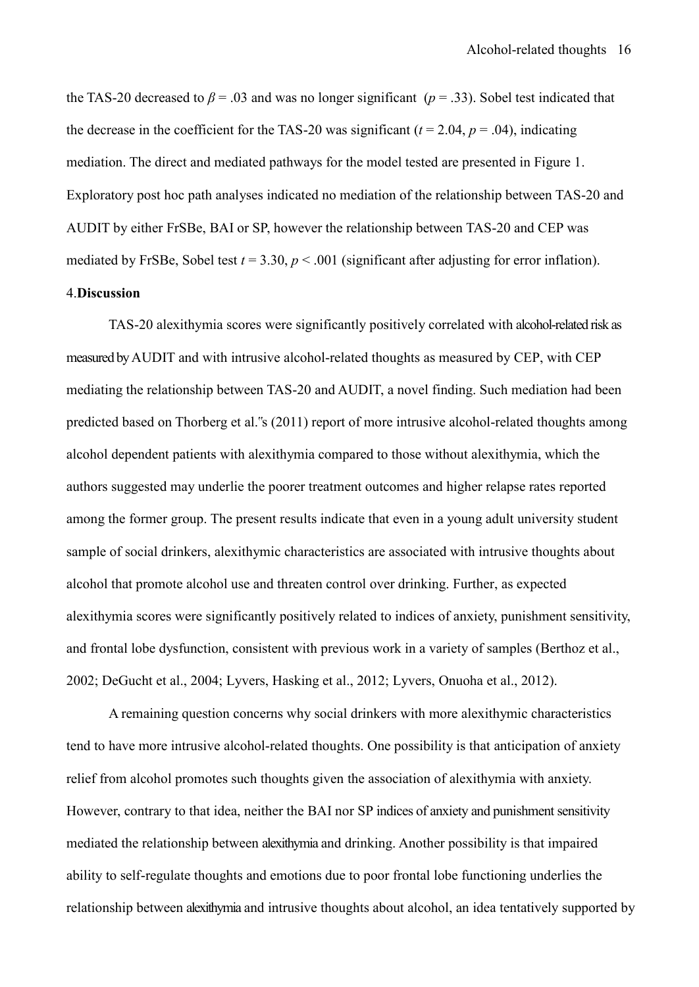the TAS-20 decreased to  $\beta$  = .03 and was no longer significant ( $p = 0.33$ ). Sobel test indicated that the decrease in the coefficient for the TAS-20 was significant  $(t = 2.04, p = .04)$ , indicating mediation. The direct and mediated pathways for the model tested are presented in Figure 1. Exploratory post hoc path analyses indicated no mediation of the relationship between TAS-20 and AUDIT by either FrSBe, BAI or SP, however the relationship between TAS-20 and CEP was mediated by FrSBe, Sobel test  $t = 3.30$ ,  $p < .001$  (significant after adjusting for error inflation). 4.**Discussion**

TAS-20 alexithymia scores were significantly positively correlated with alcohol-related risk as measured by AUDIT and with intrusive alcohol-related thoughts as measured by CEP, with CEP mediating the relationship between TAS-20 and AUDIT, a novel finding. Such mediation had been predicted based on Thorberg et al."s (2011) report of more intrusive alcohol-related thoughts among alcohol dependent patients with alexithymia compared to those without alexithymia, which the authors suggested may underlie the poorer treatment outcomes and higher relapse rates reported among the former group. The present results indicate that even in a young adult university student sample of social drinkers, alexithymic characteristics are associated with intrusive thoughts about alcohol that promote alcohol use and threaten control over drinking. Further, as expected alexithymia scores were significantly positively related to indices of anxiety, punishment sensitivity, and frontal lobe dysfunction, consistent with previous work in a variety of samples (Berthoz et al., 2002; DeGucht et al., 2004; Lyvers, Hasking et al., 2012; Lyvers, Onuoha et al., 2012).

A remaining question concerns why social drinkers with more alexithymic characteristics tend to have more intrusive alcohol-related thoughts. One possibility is that anticipation of anxiety relief from alcohol promotes such thoughts given the association of alexithymia with anxiety. However, contrary to that idea, neither the BAI nor SP indices of anxiety and punishment sensitivity mediated the relationship between alexithymia and drinking. Another possibility is that impaired ability to self-regulate thoughts and emotions due to poor frontal lobe functioning underlies the relationship between alexithymia and intrusive thoughts about alcohol, an idea tentatively supported by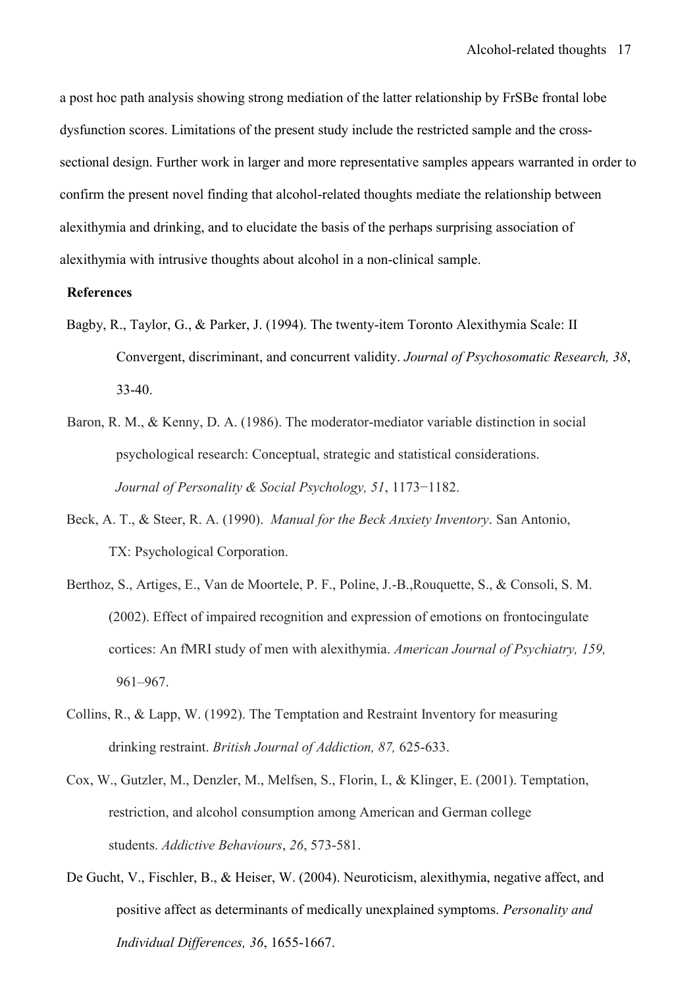a post hoc path analysis showing strong mediation of the latter relationship by FrSBe frontal lobe dysfunction scores. Limitations of the present study include the restricted sample and the crosssectional design. Further work in larger and more representative samples appears warranted in order to confirm the present novel finding that alcohol-related thoughts mediate the relationship between alexithymia and drinking, and to elucidate the basis of the perhaps surprising association of alexithymia with intrusive thoughts about alcohol in a non-clinical sample.

#### **References**

- Bagby, R., Taylor, G., & Parker, J. (1994). The twenty-item Toronto Alexithymia Scale: II Convergent, discriminant, and concurrent validity. *Journal of Psychosomatic Research, 38*, 33-40.
- Baron, R. M., & Kenny, D. A. (1986). The moderator-mediator variable distinction in social psychological research: Conceptual, strategic and statistical considerations. *Journal of Personality & Social Psychology, 51*, 1173−1182.
- Beck, A. T., & Steer, R. A. (1990). *Manual for the Beck Anxiety Inventory*. San Antonio, TX: Psychological Corporation.
- Berthoz, S., Artiges, E., Van de Moortele, P. F., Poline, J.-B.,Rouquette, S., & Consoli, S. M. (2002). Effect of impaired recognition and expression of emotions on frontocingulate cortices: An fMRI study of men with alexithymia. *American Journal of Psychiatry, 159,* 961–967.
- Collins, R., & Lapp, W. (1992). The Temptation and Restraint Inventory for measuring drinking restraint. *British Journal of Addiction, 87,* 625-633.
- Cox, W., Gutzler, M., Denzler, M., Melfsen, S., Florin, I., & Klinger, E. (2001). Temptation, restriction, and alcohol consumption among American and German college students. *Addictive Behaviours*, *26*, 573-581.
- De Gucht, V., Fischler, B., & Heiser, W. (2004). Neuroticism, alexithymia, negative affect, and positive affect as determinants of medically unexplained symptoms. *Personality and Individual Differences, 36*, 1655-1667.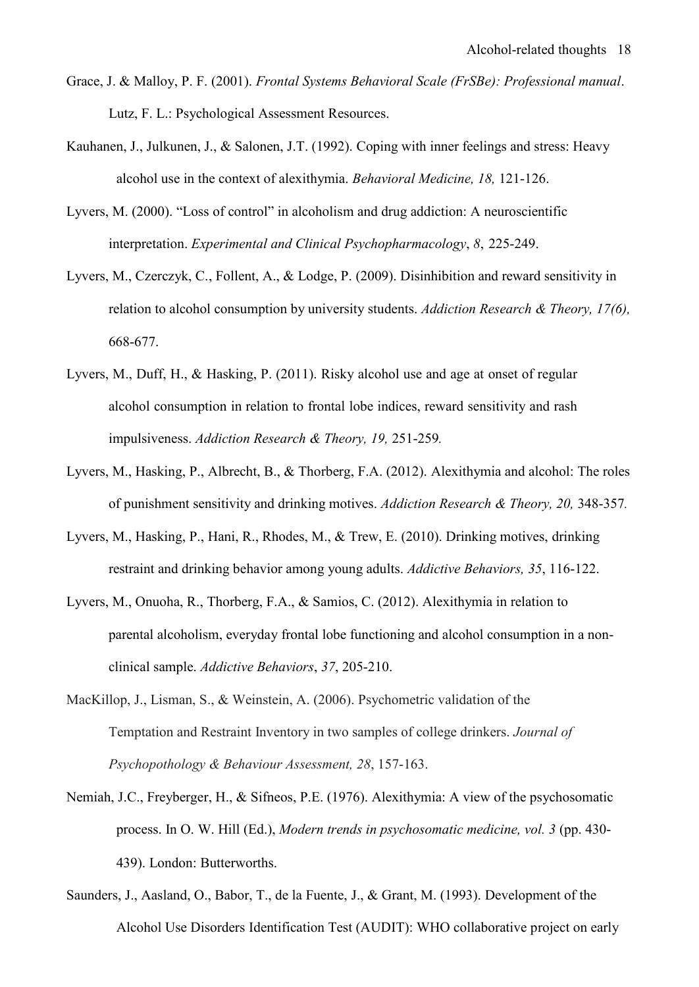- Grace, J. & Malloy, P. F. (2001). *Frontal Systems Behavioral Scale (FrSBe): Professional manual*. Lutz, F. L.: Psychological Assessment Resources.
- Kauhanen, J., Julkunen, J., & Salonen, J.T. (1992). Coping with inner feelings and stress: Heavy alcohol use in the context of alexithymia. *Behavioral Medicine, 18,* 121-126.
- Lyvers, M. (2000). "Loss of control" in alcoholism and drug addiction: A neuroscientific interpretation. *Experimental and Clinical Psychopharmacology*, *8*, 225-249.
- Lyvers, M., Czerczyk, C., Follent, A., & Lodge, P. (2009). Disinhibition and reward sensitivity in relation to alcohol consumption by university students. *Addiction Research & Theory, 17(6),* 668-677.
- Lyvers, M., Duff, H., & Hasking, P. (2011). Risky alcohol use and age at onset of regular alcohol consumption in relation to frontal lobe indices, reward sensitivity and rash impulsiveness. *Addiction Research & Theory, 19,* 251-259*.*
- Lyvers, M., Hasking, P., Albrecht, B., & Thorberg, F.A. (2012). Alexithymia and alcohol: The roles of punishment sensitivity and drinking motives. *Addiction Research & Theory, 20,* 348-357*.*
- Lyvers, M., Hasking, P., Hani, R., Rhodes, M., & Trew, E. (2010). Drinking motives, drinking restraint and drinking behavior among young adults. *Addictive Behaviors, 35*, 116-122.
- Lyvers, M., Onuoha, R., Thorberg, F.A., & Samios, C. (2012). Alexithymia in relation to parental alcoholism, everyday frontal lobe functioning and alcohol consumption in a nonclinical sample. *Addictive Behaviors*, *37*, 205-210.
- MacKillop, J., Lisman, S., & Weinstein, A. (2006). Psychometric validation of the Temptation and Restraint Inventory in two samples of college drinkers. *Journal of Psychopothology & Behaviour Assessment, 28*, 157-163.
- Nemiah, J.C., Freyberger, H., & Sifneos, P.E. (1976). Alexithymia: A view of the psychosomatic process. In O. W. Hill (Ed.), *Modern trends in psychosomatic medicine, vol. 3* (pp. 430- 439). London: Butterworths.
- Saunders, J., Aasland, O., Babor, T., de la Fuente, J., & Grant, M. (1993). Development of the Alcohol Use Disorders Identification Test (AUDIT): WHO collaborative project on early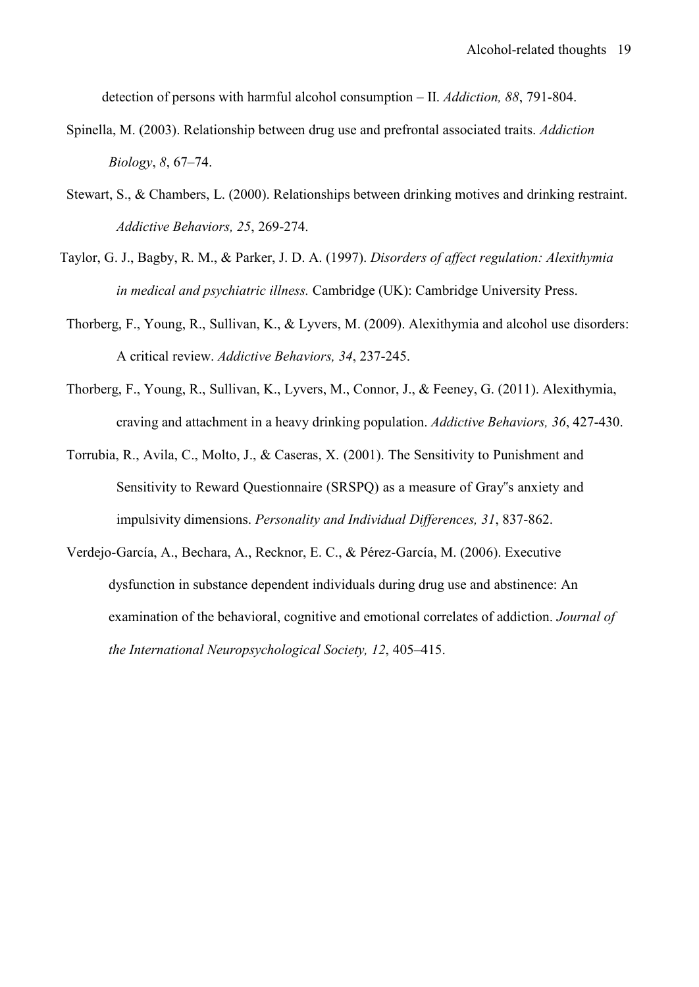detection of persons with harmful alcohol consumption – II. *Addiction, 88*, 791-804.

- Spinella, M. (2003). Relationship between drug use and prefrontal associated traits. *Addiction Biology*, *8*, 67–74.
- Stewart, S., & Chambers, L. (2000). Relationships between drinking motives and drinking restraint. *Addictive Behaviors, 25*, 269-274.
- Taylor, G. J., Bagby, R. M., & Parker, J. D. A. (1997). *Disorders of affect regulation: Alexithymia in medical and psychiatric illness.* Cambridge (UK): Cambridge University Press.
- Thorberg, F., Young, R., Sullivan, K., & Lyvers, M. (2009). Alexithymia and alcohol use disorders: A critical review. *Addictive Behaviors, 34*, 237-245.
- Thorberg, F., Young, R., Sullivan, K., Lyvers, M., Connor, J., & Feeney, G. (2011). Alexithymia, craving and attachment in a heavy drinking population. *Addictive Behaviors, 36*, 427-430.
- Torrubia, R., Avila, C., Molto, J., & Caseras, X. (2001). The Sensitivity to Punishment and Sensitivity to Reward Questionnaire (SRSPQ) as a measure of Gray"s anxiety and impulsivity dimensions. *Personality and Individual Differences, 31*, 837-862.
- Verdejo-García, A., Bechara, A., Recknor, E. C., & Pérez-García, M. (2006). Executive dysfunction in substance dependent individuals during drug use and abstinence: An examination of the behavioral, cognitive and emotional correlates of addiction. *Journal of the International Neuropsychological Society, 12*, 405–415.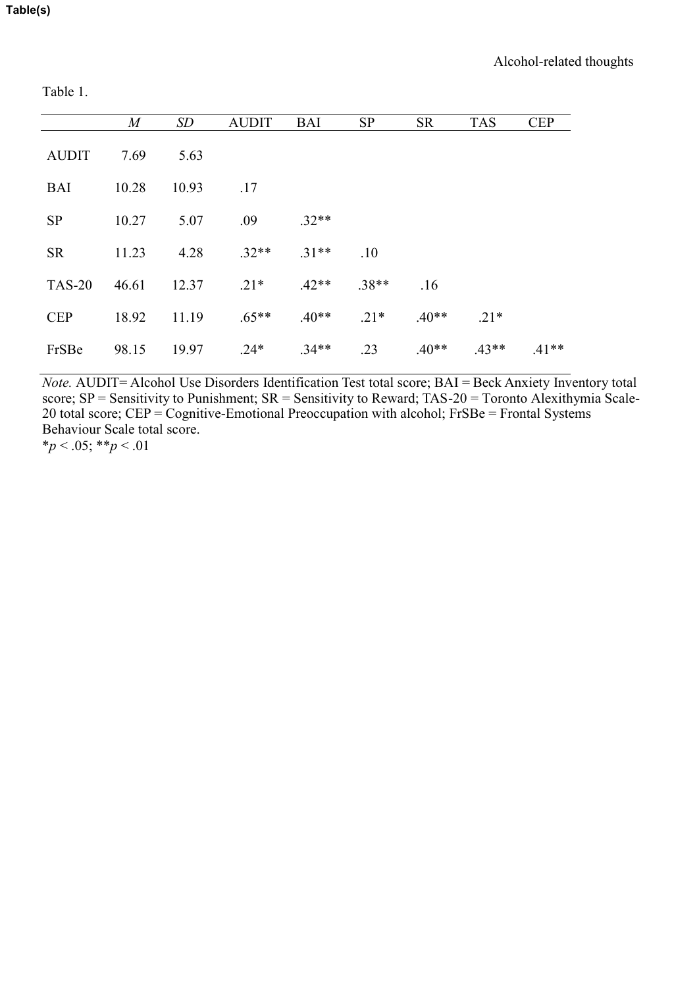Table 1.

|               | $\overline{M}$ | SD    | <b>AUDIT</b> | <b>BAI</b> | <b>SP</b> | <b>SR</b> | <b>TAS</b> | <b>CEP</b> |
|---------------|----------------|-------|--------------|------------|-----------|-----------|------------|------------|
| <b>AUDIT</b>  | 7.69           | 5.63  |              |            |           |           |            |            |
| <b>BAI</b>    | 10.28          | 10.93 | .17          |            |           |           |            |            |
| <b>SP</b>     | 10.27          | 5.07  | .09          | $.32**$    |           |           |            |            |
| <b>SR</b>     | 11.23          | 4.28  | $.32**$      | $.31**$    | .10       |           |            |            |
| <b>TAS-20</b> | 46.61          | 12.37 | $.21*$       | $.42**$    | $.38**$   | .16       |            |            |
| <b>CEP</b>    | 18.92          | 11.19 | $.65**$      | $.40**$    | $.21*$    | $.40**$   | $.21*$     |            |
| FrSBe         | 98.15          | 19.97 | $.24*$       | $.34**$    | .23       | $.40**$   | $.43**$    | $.41**$    |

*Note.* AUDIT= Alcohol Use Disorders Identification Test total score; BAI = Beck Anxiety Inventory total score; SP = Sensitivity to Punishment; SR = Sensitivity to Reward; TAS-20 = Toronto Alexithymia Scale-20 total score; CEP = Cognitive-Emotional Preoccupation with alcohol; FrSBe = Frontal Systems Behaviour Scale total score. \**p* < .05; \*\**p* < .01